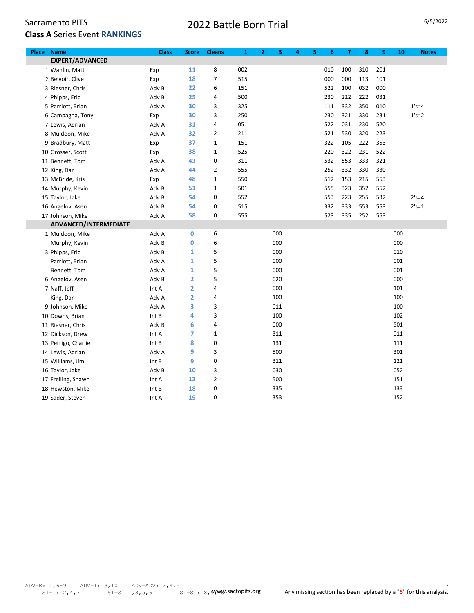## 2022 Battle Born Trial 6/5/2022

| Place | <b>Name</b>            | <b>Class</b> | <b>Score</b>            | <b>Cleans</b>  | $\mathbf{1}$ | $\mathbf{2}$ | 3   | 4 | 5<br>6 | $\overline{7}$ | 8   | 9   | 10  | <b>Notes</b> |
|-------|------------------------|--------------|-------------------------|----------------|--------------|--------------|-----|---|--------|----------------|-----|-----|-----|--------------|
|       | <b>EXPERT/ADVANCED</b> |              |                         |                |              |              |     |   |        |                |     |     |     |              |
|       | 1 Wanlin, Matt         | Exp          | 11                      | 8              | 002          |              |     |   | 010    | 100            | 310 | 201 |     |              |
|       | 2 Belvoir, Clive       | Exp          | 18                      | $\overline{7}$ | 515          |              |     |   | 000    | 000            | 113 | 101 |     |              |
|       | 3 Riesner, Chris       | Adv B        | 22                      | 6              | 151          |              |     |   | 522    | 100            | 032 | 000 |     |              |
|       | 4 Phipps, Eric         | Adv B        | 25                      | 4              | 500          |              |     |   | 230    | 212            | 222 | 031 |     |              |
|       | 5 Parriott, Brian      | Adv A        | 30                      | 3              | 325          |              |     |   | 111    | 332            | 350 | 010 |     | $1's = 4$    |
|       | 6 Campagna, Tony       | Exp          | 30                      | 3              | 250          |              |     |   | 230    | 321            | 330 | 231 |     | $1's = 2$    |
|       | 7 Lewis, Adrian        | Adv A        | 31                      | 4              | 051          |              |     |   | 522    | 031            | 230 | 520 |     |              |
|       | 8 Muldoon, Mike        | Adv A        | 32                      | 2              | 211          |              |     |   | 521    | 530            | 320 | 223 |     |              |
|       | 9 Bradbury, Matt       | Exp          | 37                      | $\mathbf 1$    | 151          |              |     |   | 322    | 105            | 222 | 353 |     |              |
|       | 10 Grosser, Scott      | Exp          | 38                      | $\mathbf 1$    | 525          |              |     |   | 220    | 322            | 231 | 522 |     |              |
|       | 11 Bennett, Tom        | Adv A        | 43                      | 0              | 311          |              |     |   | 532    | 553            | 333 | 321 |     |              |
|       | 12 King, Dan           | Adv A        | 44                      | $\overline{2}$ | 555          |              |     |   | 252    | 332            | 330 | 330 |     |              |
|       | 13 McBride, Kris       | Exp          | 48                      | $\mathbf 1$    | 550          |              |     |   | 512    | 153            | 215 | 553 |     |              |
|       | 14 Murphy, Kevin       | Adv B        | 51                      | $\mathbf{1}$   | 501          |              |     |   | 555    | 323            | 352 | 552 |     |              |
|       | 15 Taylor, Jake        | Adv B        | 54                      | 0              | 552          |              |     |   | 553    | 223            | 255 | 532 |     | $2's = 4$    |
|       | 16 Angelov, Asen       | Adv B        | 54                      | 0              | 515          |              |     |   | 332    | 333            | 553 | 553 |     | $2's = 1$    |
|       | 17 Johnson, Mike       | Adv A        | 58                      | 0              | 555          |              |     |   | 523    | 335            | 252 | 553 |     |              |
|       | ADVANCED/INTERMEDIATE  |              |                         |                |              |              |     |   |        |                |     |     |     |              |
|       | 1 Muldoon, Mike        | Adv A        | $\mathbf 0$             | 6              |              |              | 000 |   |        |                |     |     | 000 |              |
|       | Murphy, Kevin          | Adv B        | 0                       | 6              |              |              | 000 |   |        |                |     |     | 000 |              |
|       | 3 Phipps, Eric         | Adv B        | 1                       | 5              |              |              | 000 |   |        |                |     |     | 010 |              |
|       | Parriott, Brian        | Adv A        | 1                       | 5              |              |              | 000 |   |        |                |     |     | 001 |              |
|       | Bennett, Tom           | Adv A        | 1                       | 5              |              |              | 000 |   |        |                |     |     | 001 |              |
|       | 6 Angelov, Asen        | Adv B        | $\overline{\mathbf{2}}$ | 5              |              |              | 020 |   |        |                |     |     | 000 |              |
|       | 7 Naff, Jeff           | Int A        | 2                       | 4              |              |              | 000 |   |        |                |     |     | 101 |              |
|       | King, Dan              | Adv A        | $\overline{\mathbf{2}}$ | 4              |              |              | 100 |   |        |                |     |     | 100 |              |
|       | 9 Johnson, Mike        | Adv A        | 3                       | 3              |              |              | 011 |   |        |                |     |     | 100 |              |
|       | 10 Downs, Brian        | Int B        | 4                       | 3              |              |              | 100 |   |        |                |     |     | 102 |              |
|       | 11 Riesner, Chris      | Adv B        | 6                       | 4              |              |              | 000 |   |        |                |     |     | 501 |              |
|       | 12 Dickson, Drew       | Int A        | $\overline{7}$          | $\mathbf 1$    |              |              | 311 |   |        |                |     |     | 011 |              |
|       | 13 Perrigo, Charlie    | Int B        | 8                       | 0              |              |              | 131 |   |        |                |     |     | 111 |              |
|       | 14 Lewis, Adrian       | Adv A        | 9                       | 3              |              |              | 500 |   |        |                |     |     | 301 |              |
|       | 15 Williams, Jim       | Int B        | 9                       | 0              |              |              | 311 |   |        |                |     |     | 121 |              |
|       | 16 Taylor, Jake        | Adv B        | 10                      | 3              |              |              | 030 |   |        |                |     |     | 052 |              |
|       | 17 Freiling, Shawn     | Int A        | 12                      | $\overline{2}$ |              |              | 500 |   |        |                |     |     | 151 |              |
|       | 18 Hewston, Mike       | Int B        | 18                      | 0              |              |              | 335 |   |        |                |     |     | 133 |              |
|       | 19 Sader, Steven       | Int A        | 19                      | $\Omega$       |              |              | 353 |   |        |                |     |     | 152 |              |

.